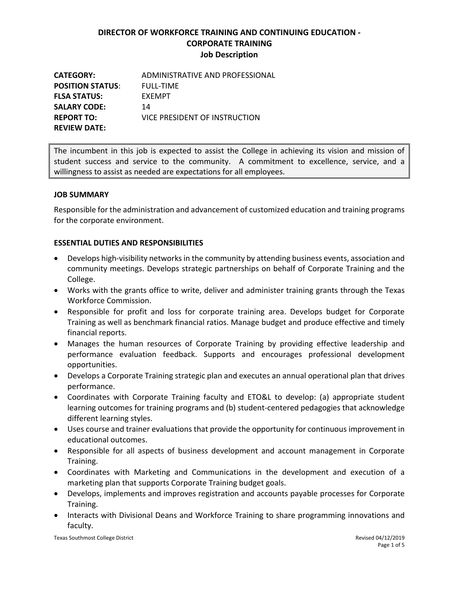**CATEGORY:** ADMINISTRATIVE AND PROFESSIONAL **POSITION STATUS**: FULL-TIME **FLSA STATUS:** EXEMPT SALARY CODE: 14 **REPORT TO:** VICE PRESIDENT OF INSTRUCTION **REVIEW DATE:**

The incumbent in this job is expected to assist the College in achieving its vision and mission of student success and service to the community. A commitment to excellence, service, and a willingness to assist as needed are expectations for all employees.

### **JOB SUMMARY**

Responsible for the administration and advancement of customized education and training programs for the corporate environment.

### **ESSENTIAL DUTIES AND RESPONSIBILITIES**

- Develops high-visibility networks in the community by attending business events, association and community meetings. Develops strategic partnerships on behalf of Corporate Training and the College.
- Works with the grants office to write, deliver and administer training grants through the Texas Workforce Commission.
- Responsible for profit and loss for corporate training area. Develops budget for Corporate Training as well as benchmark financial ratios. Manage budget and produce effective and timely financial reports.
- Manages the human resources of Corporate Training by providing effective leadership and performance evaluation feedback. Supports and encourages professional development opportunities.
- Develops a Corporate Training strategic plan and executes an annual operational plan that drives performance.
- Coordinates with Corporate Training faculty and ETO&L to develop: (a) appropriate student learning outcomes for training programs and (b) student-centered pedagogies that acknowledge different learning styles.
- Uses course and trainer evaluations that provide the opportunity for continuous improvement in educational outcomes.
- Responsible for all aspects of business development and account management in Corporate Training.
- Coordinates with Marketing and Communications in the development and execution of a marketing plan that supports Corporate Training budget goals.
- Develops, implements and improves registration and accounts payable processes for Corporate Training.
- Interacts with Divisional Deans and Workforce Training to share programming innovations and faculty.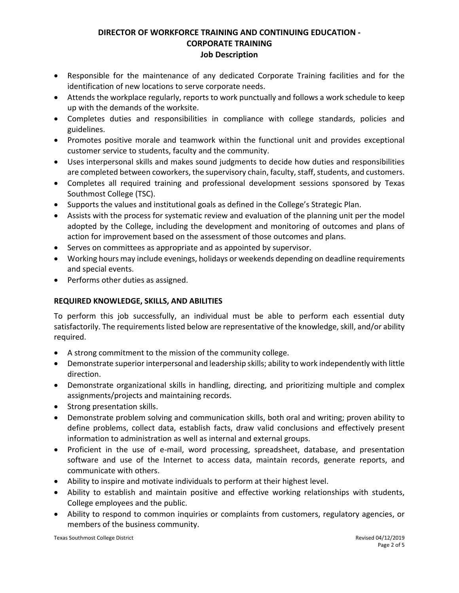- Responsible for the maintenance of any dedicated Corporate Training facilities and for the identification of new locations to serve corporate needs.
- Attends the workplace regularly, reports to work punctually and follows a work schedule to keep up with the demands of the worksite.
- Completes duties and responsibilities in compliance with college standards, policies and guidelines.
- Promotes positive morale and teamwork within the functional unit and provides exceptional customer service to students, faculty and the community.
- Uses interpersonal skills and makes sound judgments to decide how duties and responsibilities are completed between coworkers, the supervisory chain, faculty, staff, students, and customers.
- Completes all required training and professional development sessions sponsored by Texas Southmost College (TSC).
- Supports the values and institutional goals as defined in the College's Strategic Plan.
- Assists with the process for systematic review and evaluation of the planning unit per the model adopted by the College, including the development and monitoring of outcomes and plans of action for improvement based on the assessment of those outcomes and plans.
- Serves on committees as appropriate and as appointed by supervisor.
- Working hours may include evenings, holidays or weekends depending on deadline requirements and special events.
- Performs other duties as assigned.

## **REQUIRED KNOWLEDGE, SKILLS, AND ABILITIES**

To perform this job successfully, an individual must be able to perform each essential duty satisfactorily. The requirements listed below are representative of the knowledge, skill, and/or ability required.

- A strong commitment to the mission of the community college.
- Demonstrate superior interpersonal and leadership skills; ability to work independently with little direction.
- Demonstrate organizational skills in handling, directing, and prioritizing multiple and complex assignments/projects and maintaining records.
- Strong presentation skills.
- Demonstrate problem solving and communication skills, both oral and writing; proven ability to define problems, collect data, establish facts, draw valid conclusions and effectively present information to administration as well as internal and external groups.
- Proficient in the use of e-mail, word processing, spreadsheet, database, and presentation software and use of the Internet to access data, maintain records, generate reports, and communicate with others.
- Ability to inspire and motivate individuals to perform at their highest level.
- Ability to establish and maintain positive and effective working relationships with students, College employees and the public.
- Ability to respond to common inquiries or complaints from customers, regulatory agencies, or members of the business community.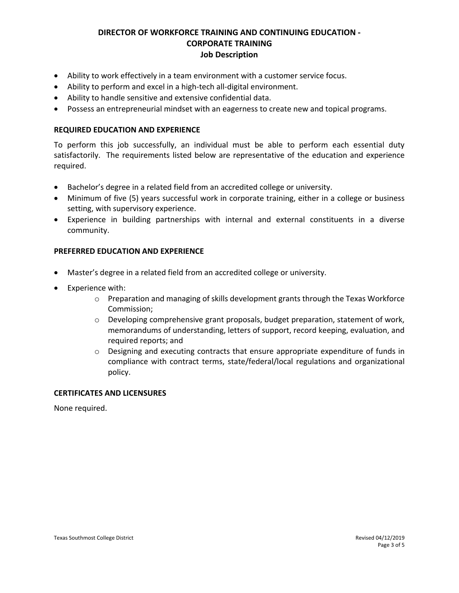- Ability to work effectively in a team environment with a customer service focus.
- Ability to perform and excel in a high-tech all-digital environment.
- Ability to handle sensitive and extensive confidential data.
- Possess an entrepreneurial mindset with an eagerness to create new and topical programs.

#### **REQUIRED EDUCATION AND EXPERIENCE**

To perform this job successfully, an individual must be able to perform each essential duty satisfactorily. The requirements listed below are representative of the education and experience required.

- Bachelor's degree in a related field from an accredited college or university.
- Minimum of five (5) years successful work in corporate training, either in a college or business setting, with supervisory experience.
- Experience in building partnerships with internal and external constituents in a diverse community.

#### **PREFERRED EDUCATION AND EXPERIENCE**

- Master's degree in a related field from an accredited college or university.
- Experience with:
	- $\circ$  Preparation and managing of skills development grants through the Texas Workforce Commission;
	- $\circ$  Developing comprehensive grant proposals, budget preparation, statement of work, memorandums of understanding, letters of support, record keeping, evaluation, and required reports; and
	- $\circ$  Designing and executing contracts that ensure appropriate expenditure of funds in compliance with contract terms, state/federal/local regulations and organizational policy.

#### **CERTIFICATES AND LICENSURES**

None required.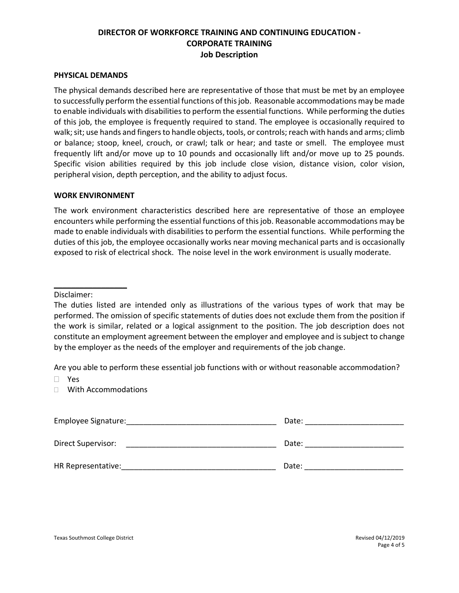#### **PHYSICAL DEMANDS**

The physical demands described here are representative of those that must be met by an employee to successfully perform the essential functions of this job. Reasonable accommodations may be made to enable individuals with disabilities to perform the essential functions. While performing the duties of this job, the employee is frequently required to stand. The employee is occasionally required to walk; sit; use hands and fingers to handle objects, tools, or controls; reach with hands and arms; climb or balance; stoop, kneel, crouch, or crawl; talk or hear; and taste or smell. The employee must frequently lift and/or move up to 10 pounds and occasionally lift and/or move up to 25 pounds. Specific vision abilities required by this job include close vision, distance vision, color vision, peripheral vision, depth perception, and the ability to adjust focus.

#### **WORK ENVIRONMENT**

The work environment characteristics described here are representative of those an employee encounters while performing the essential functions of this job. Reasonable accommodations may be made to enable individuals with disabilities to perform the essential functions. While performing the duties of this job, the employee occasionally works near moving mechanical parts and is occasionally exposed to risk of electrical shock. The noise level in the work environment is usually moderate.

Disclaimer:

\_\_\_\_\_\_\_\_\_\_\_\_\_\_\_\_\_

Are you able to perform these essential job functions with or without reasonable accommodation?

Yes

With Accommodations

| Employee Signature: | Date: |
|---------------------|-------|
| Direct Supervisor:  | Date: |
| HR Representative:  | Date: |

The duties listed are intended only as illustrations of the various types of work that may be performed. The omission of specific statements of duties does not exclude them from the position if the work is similar, related or a logical assignment to the position. The job description does not constitute an employment agreement between the employer and employee and is subject to change by the employer as the needs of the employer and requirements of the job change.